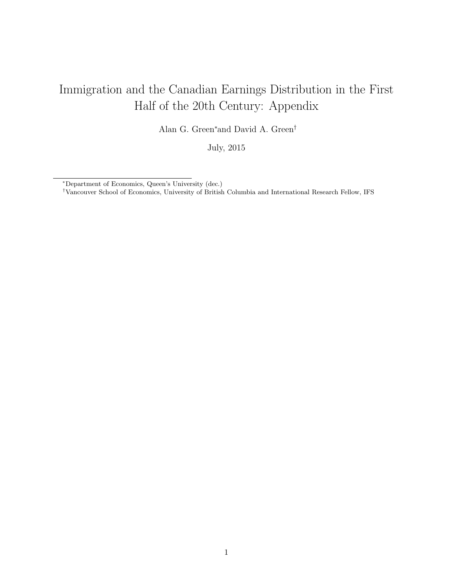# Immigration and the Canadian Earnings Distribution in the First Half of the 20th Century: Appendix

Alan G. Green<sup>∗</sup>and David A. Green†

July, 2015

<sup>∗</sup>Department of Economics, Queen's University (dec.)

<sup>†</sup>Vancouver School of Economics, University of British Columbia and International Research Fellow, IFS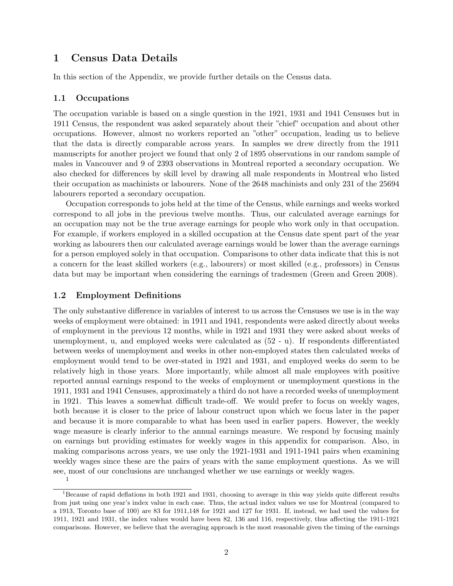# 1 Census Data Details

In this section of the Appendix, we provide further details on the Census data.

#### 1.1 Occupations

The occupation variable is based on a single question in the 1921, 1931 and 1941 Censuses but in 1911 Census, the respondent was asked separately about their "chief" occupation and about other occupations. However, almost no workers reported an "other" occupation, leading us to believe that the data is directly comparable across years. In samples we drew directly from the 1911 manuscripts for another project we found that only 2 of 1895 observations in our random sample of males in Vancouver and 9 of 2393 observations in Montreal reported a secondary occupation. We also checked for differences by skill level by drawing all male respondents in Montreal who listed their occupation as machinists or labourers. None of the 2648 machinists and only 231 of the 25694 labourers reported a secondary occupation.

Occupation corresponds to jobs held at the time of the Census, while earnings and weeks worked correspond to all jobs in the previous twelve months. Thus, our calculated average earnings for an occupation may not be the true average earnings for people who work only in that occupation. For example, if workers employed in a skilled occupation at the Census date spent part of the year working as labourers then our calculated average earnings would be lower than the average earnings for a person employed solely in that occupation. Comparisons to other data indicate that this is not a concern for the least skilled workers (e.g., labourers) or most skilled (e.g., professors) in Census data but may be important when considering the earnings of tradesmen (Green and Green 2008).

#### 1.2 Employment Definitions

The only substantive difference in variables of interest to us across the Censuses we use is in the way weeks of employment were obtained: in 1911 and 1941, respondents were asked directly about weeks of employment in the previous 12 months, while in 1921 and 1931 they were asked about weeks of unemployment, u, and employed weeks were calculated as (52 - u). If respondents differentiated between weeks of unemployment and weeks in other non-employed states then calculated weeks of employment would tend to be over-stated in 1921 and 1931, and employed weeks do seem to be relatively high in those years. More importantly, while almost all male employees with positive reported annual earnings respond to the weeks of employment or unemployment questions in the 1911, 1931 and 1941 Censuses, approximately a third do not have a recorded weeks of unemployment in 1921. This leaves a somewhat difficult trade-off. We would prefer to focus on weekly wages, both because it is closer to the price of labour construct upon which we focus later in the paper and because it is more comparable to what has been used in earlier papers. However, the weekly wage measure is clearly inferior to the annual earnings measure. We respond by focusing mainly on earnings but providing estimates for weekly wages in this appendix for comparison. Also, in making comparisons across years, we use only the 1921-1931 and 1911-1941 pairs when examining weekly wages since these are the pairs of years with the same employment questions. As we will see, most of our conclusions are unchanged whether we use earnings or weekly wages. 1

<sup>&</sup>lt;sup>1</sup>Because of rapid deflations in both 1921 and 1931, choosing to average in this way yields quite different results from just using one year's index value in each case. Thus, the actual index values we use for Montreal (compared to a 1913, Toronto base of 100) are 83 for 1911,148 for 1921 and 127 for 1931. If, instead, we had used the values for 1911, 1921 and 1931, the index values would have been 82, 136 and 116, respectively, thus affecting the 1911-1921 comparisons. However, we believe that the averaging approach is the most reasonable given the timing of the earnings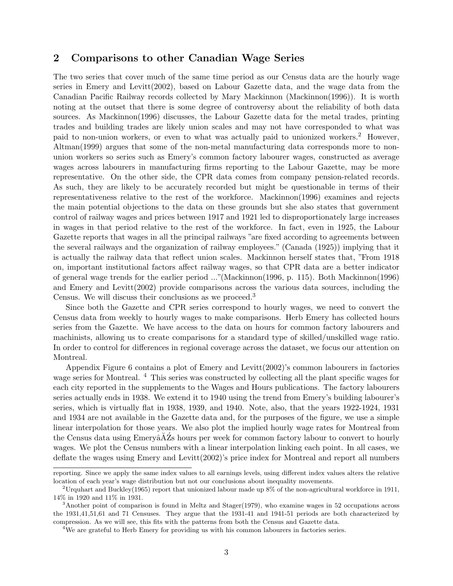# 2 Comparisons to other Canadian Wage Series

The two series that cover much of the same time period as our Census data are the hourly wage series in Emery and Levitt(2002), based on Labour Gazette data, and the wage data from the Canadian Pacific Railway records collected by Mary Mackinnon (Mackinnon(1996)). It is worth noting at the outset that there is some degree of controversy about the reliability of both data sources. As Mackinnon(1996) discusses, the Labour Gazette data for the metal trades, printing trades and building trades are likely union scales and may not have corresponded to what was paid to non-union workers, or even to what was actually paid to unionized workers.<sup>2</sup> However. Altman(1999) argues that some of the non-metal manufacturing data corresponds more to nonunion workers so series such as Emery's common factory labourer wages, constructed as average wages across labourers in manufacturing firms reporting to the Labour Gazette, may be more representative. On the other side, the CPR data comes from company pension-related records. As such, they are likely to be accurately recorded but might be questionable in terms of their representativeness relative to the rest of the workforce. Mackinnon(1996) examines and rejects the main potential objections to the data on these grounds but she also states that government control of railway wages and prices between 1917 and 1921 led to disproportionately large increases in wages in that period relative to the rest of the workforce. In fact, even in 1925, the Labour Gazette reports that wages in all the principal railways "are fixed according to agreements between the several railways and the organization of railway employees." (Canada (1925)) implying that it is actually the railway data that reflect union scales. Mackinnon herself states that, "From 1918 on, important institutional factors affect railway wages, so that CPR data are a better indicator of general wage trends for the earlier period ..."(Mackinnon(1996, p. 115). Both Mackinnon(1996) and Emery and Levitt(2002) provide comparisons across the various data sources, including the Census. We will discuss their conclusions as we proceed.<sup>3</sup>

Since both the Gazette and CPR series correspond to hourly wages, we need to convert the Census data from weekly to hourly wages to make comparisons. Herb Emery has collected hours series from the Gazette. We have access to the data on hours for common factory labourers and machinists, allowing us to create comparisons for a standard type of skilled/unskilled wage ratio. In order to control for differences in regional coverage across the dataset, we focus our attention on Montreal.

Appendix Figure 6 contains a plot of Emery and Levitt(2002)'s common labourers in factories wage series for Montreal. <sup>4</sup> This series was constructed by collecting all the plant specific wages for each city reported in the supplements to the Wages and Hours publications. The factory labourers series actually ends in 1938. We extend it to 1940 using the trend from Emery's building labourer's series, which is virtually flat in 1938, 1939, and 1940. Note, also, that the years 1922-1924, 1931 and 1934 are not available in the Gazette data and, for the purposes of the figure, we use a simple linear interpolation for those years. We also plot the implied hourly wage rates for Montreal from the Census data using EmeryâAZs hours per week for common factory labour to convert to hourly wages. We plot the Census numbers with a linear interpolation linking each point. In all cases, we deflate the wages using Emery and Levitt(2002)'s price index for Montreal and report all numbers

reporting. Since we apply the same index values to all earnings levels, using different index values alters the relative location of each year's wage distribution but not our conclusions about inequality movements.

<sup>&</sup>lt;sup>2</sup>Urquhart and Buckley(1965) report that unionized labour made up  $8\%$  of the non-agricultural workforce in 1911, 14% in 1920 and 11% in 1931.

<sup>3</sup>Another point of comparison is found in Meltz and Stager(1979), who examine wages in 52 occupations across the 1931,41,51,61 and 71 Censuses. They argue that the 1931-41 and 1941-51 periods are both characterized by compression. As we will see, this fits with the patterns from both the Census and Gazette data.

<sup>&</sup>lt;sup>4</sup>We are grateful to Herb Emery for providing us with his common labourers in factories series.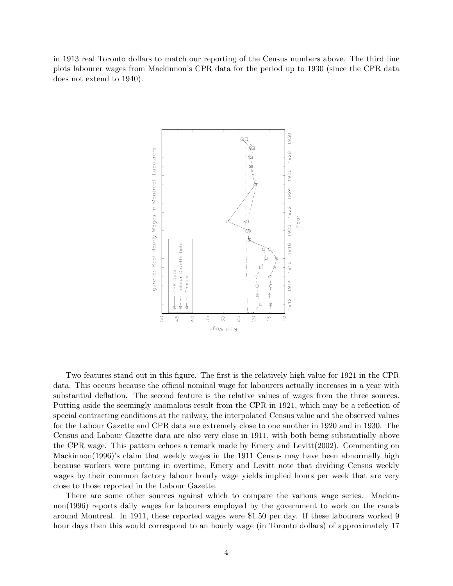in 1913 real Toronto dollars to match our reporting of the Census numbers above. The third line plots labourer wages from Mackinnon's CPR data for the period up to 1930 (since the CPR data does not extend to 1940).



Two features stand out in this figure. The first is the relatively high value for 1921 in the CPR data. This occurs because the official nominal wage for labourers actually increases in a year with substantial deflation. The second feature is the relative values of wages from the three sources. Putting aside the seemingly anomalous result from the CPR in 1921, which may be a reflection of special contracting conditions at the railway, the interpolated Census value and the observed values for the Labour Gazette and CPR data are extremely close to one another in 1920 and in 1930. The Census and Labour Gazette data are also very close in 1911, with both being substantially above the CPR wage. This pattern echoes a remark made by Emery and Levitt(2002). Commenting on Mackinnon(1996)'s claim that weekly wages in the 1911 Census may have been abnormally high because workers were putting in overtime, Emery and Levitt note that dividing Census weekly wages by their common factory labour hourly wage yields implied hours per week that are very close to those reported in the Labour Gazette.

There are some other sources against which to compare the various wage series. Mackinnon(1996) reports daily wages for labourers employed by the government to work on the canals around Montreal. In 1911, these reported wages were \$1.50 per day. If these labourers worked 9 hour days then this would correspond to an hourly wage (in Toronto dollars) of approximately 17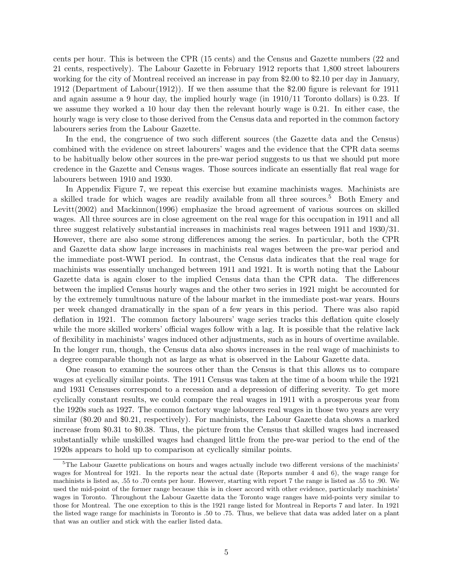cents per hour. This is between the CPR (15 cents) and the Census and Gazette numbers (22 and 21 cents, respectively). The Labour Gazette in February 1912 reports that 1,800 street labourers working for the city of Montreal received an increase in pay from \$2.00 to \$2.10 per day in January, 1912 (Department of Labour(1912)). If we then assume that the \$2.00 figure is relevant for 1911 and again assume a 9 hour day, the implied hourly wage (in 1910/11 Toronto dollars) is 0.23. If we assume they worked a 10 hour day then the relevant hourly wage is 0.21. In either case, the hourly wage is very close to those derived from the Census data and reported in the common factory labourers series from the Labour Gazette.

In the end, the congruence of two such different sources (the Gazette data and the Census) combined with the evidence on street labourers' wages and the evidence that the CPR data seems to be habitually below other sources in the pre-war period suggests to us that we should put more credence in the Gazette and Census wages. Those sources indicate an essentially flat real wage for labourers between 1910 and 1930.

In Appendix Figure 7, we repeat this exercise but examine machinists wages. Machinists are a skilled trade for which wages are readily available from all three sources.<sup>5</sup> Both Emery and Levitt(2002) and Mackinnon(1996) emphasize the broad agreement of various sources on skilled wages. All three sources are in close agreement on the real wage for this occupation in 1911 and all three suggest relatively substantial increases in machinists real wages between 1911 and 1930/31. However, there are also some strong differences among the series. In particular, both the CPR and Gazette data show large increases in machinists real wages between the pre-war period and the immediate post-WWI period. In contrast, the Census data indicates that the real wage for machinists was essentially unchanged between 1911 and 1921. It is worth noting that the Labour Gazette data is again closer to the implied Census data than the CPR data. The differences between the implied Census hourly wages and the other two series in 1921 might be accounted for by the extremely tumultuous nature of the labour market in the immediate post-war years. Hours per week changed dramatically in the span of a few years in this period. There was also rapid deflation in 1921. The common factory labourers' wage series tracks this deflation quite closely while the more skilled workers' official wages follow with a lag. It is possible that the relative lack of flexibility in machinists' wages induced other adjustments, such as in hours of overtime available. In the longer run, though, the Census data also shows increases in the real wage of machinists to a degree comparable though not as large as what is observed in the Labour Gazette data.

One reason to examine the sources other than the Census is that this allows us to compare wages at cyclically similar points. The 1911 Census was taken at the time of a boom while the 1921 and 1931 Censuses correspond to a recession and a depression of differing severity. To get more cyclically constant results, we could compare the real wages in 1911 with a prosperous year from the 1920s such as 1927. The common factory wage labourers real wages in those two years are very similar (\$0.20 and \$0.21, respectively). For machinists, the Labour Gazette data shows a marked increase from \$0.31 to \$0.38. Thus, the picture from the Census that skilled wages had increased substantially while unskilled wages had changed little from the pre-war period to the end of the 1920s appears to hold up to comparison at cyclically similar points.

 $5$ The Labour Gazette publications on hours and wages actually include two different versions of the machinists' wages for Montreal for 1921. In the reports near the actual date (Reports number 4 and 6), the wage range for machinists is listed as, .55 to .70 cents per hour. However, starting with report 7 the range is listed as .55 to .90. We used the mid-point of the former range because this is in closer accord with other evidence, particularly machinists' wages in Toronto. Throughout the Labour Gazette data the Toronto wage ranges have mid-points very similar to those for Montreal. The one exception to this is the 1921 range listed for Montreal in Reports 7 and later. In 1921 the listed wage range for machinists in Toronto is .50 to .75. Thus, we believe that data was added later on a plant that was an outlier and stick with the earlier listed data.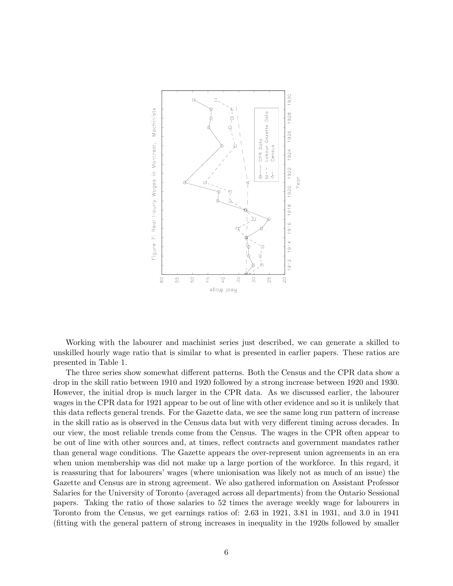

Working with the labourer and machinist series just described, we can generate a skilled to unskilled hourly wage ratio that is similar to what is presented in earlier papers. These ratios are presented in Table 1.

The three series show somewhat different patterns. Both the Census and the CPR data show a drop in the skill ratio between 1910 and 1920 followed by a strong increase between 1920 and 1930. However, the initial drop is much larger in the CPR data. As we discussed earlier, the labourer wages in the CPR data for 1921 appear to be out of line with other evidence and so it is unlikely that this data reflects general trends. For the Gazette data, we see the same long run pattern of increase in the skill ratio as is observed in the Census data but with very different timing across decades. In our view, the most reliable trends come from the Census. The wages in the CPR often appear to be out of line with other sources and, at times, reflect contracts and government mandates rather than general wage conditions. The Gazette appears the over-represent union agreements in an era when union membership was did not make up a large portion of the workforce. In this regard, it is reassuring that for labourers' wages (where unionisation was likely not as much of an issue) the Gazette and Census are in strong agreement. We also gathered information on Assistant Professor Salaries for the University of Toronto (averaged across all departments) from the Ontario Sessional papers. Taking the ratio of those salaries to 52 times the average weekly wage for labourers in Toronto from the Census, we get earnings ratios of: 2.63 in 1921, 3.81 in 1931, and 3.0 in 1941 (fitting with the general pattern of strong increases in inequality in the 1920s followed by smaller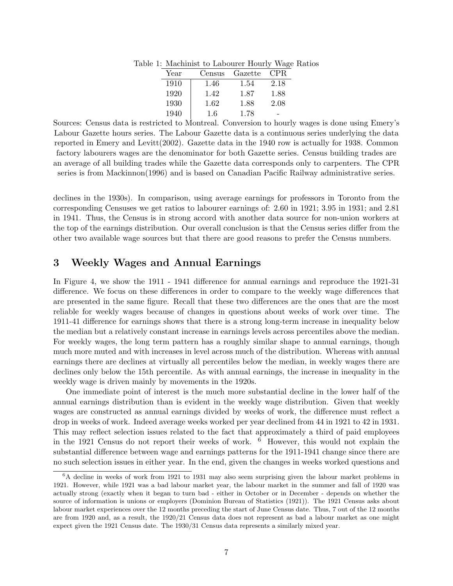| Year | Census | Gazette | CPR. |
|------|--------|---------|------|
| 1910 | 1.46   | 1.54    | 2.18 |
| 1920 | 1.42   | 1.87    | 1.88 |
| 1930 | 1.62   | 1.88    | 2.08 |
| 1940 | 1.6    | 1.78    |      |

Table 1: Machinist to Labourer Hourly Wage Ratios

Sources: Census data is restricted to Montreal. Conversion to hourly wages is done using Emery's Labour Gazette hours series. The Labour Gazette data is a continuous series underlying the data reported in Emery and Levitt(2002). Gazette data in the 1940 row is actually for 1938. Common factory labourers wages are the denominator for both Gazette series. Census building trades are an average of all building trades while the Gazette data corresponds only to carpenters. The CPR series is from Mackinnon(1996) and is based on Canadian Pacific Railway administrative series.

declines in the 1930s). In comparison, using average earnings for professors in Toronto from the corresponding Censuses we get ratios to labourer earnings of: 2.60 in 1921; 3.95 in 1931; and 2.81 in 1941. Thus, the Census is in strong accord with another data source for non-union workers at the top of the earnings distribution. Our overall conclusion is that the Census series differ from the other two available wage sources but that there are good reasons to prefer the Census numbers.

## 3 Weekly Wages and Annual Earnings

In Figure 4, we show the 1911 - 1941 difference for annual earnings and reproduce the 1921-31 difference. We focus on these differences in order to compare to the weekly wage differences that are presented in the same figure. Recall that these two differences are the ones that are the most reliable for weekly wages because of changes in questions about weeks of work over time. The 1911-41 difference for earnings shows that there is a strong long-term increase in inequality below the median but a relatively constant increase in earnings levels across percentiles above the median. For weekly wages, the long term pattern has a roughly similar shape to annual earnings, though much more muted and with increases in level across much of the distribution. Whereas with annual earnings there are declines at virtually all percentiles below the median, in weekly wages there are declines only below the 15th percentile. As with annual earnings, the increase in inequality in the weekly wage is driven mainly by movements in the 1920s.

One immediate point of interest is the much more substantial decline in the lower half of the annual earnings distribution than is evident in the weekly wage distribution. Given that weekly wages are constructed as annual earnings divided by weeks of work, the difference must reflect a drop in weeks of work. Indeed average weeks worked per year declined from 44 in 1921 to 42 in 1931. This may reflect selection issues related to the fact that approximately a third of paid employees in the 1921 Census do not report their weeks of work. <sup>6</sup> However, this would not explain the substantial difference between wage and earnings patterns for the 1911-1941 change since there are no such selection issues in either year. In the end, given the changes in weeks worked questions and

<sup>&</sup>lt;sup>6</sup>A decline in weeks of work from 1921 to 1931 may also seem surprising given the labour market problems in 1921. However, while 1921 was a bad labour market year, the labour market in the summer and fall of 1920 was actually strong (exactly when it began to turn bad - either in October or in December - depends on whether the source of information is unions or employers (Dominion Bureau of Statistics (1921)). The 1921 Census asks about labour market experiences over the 12 months preceding the start of June Census date. Thus, 7 out of the 12 months are from 1920 and, as a result, the 1920/21 Census data does not represent as bad a labour market as one might expect given the 1921 Census date. The 1930/31 Census data represents a similarly mixed year.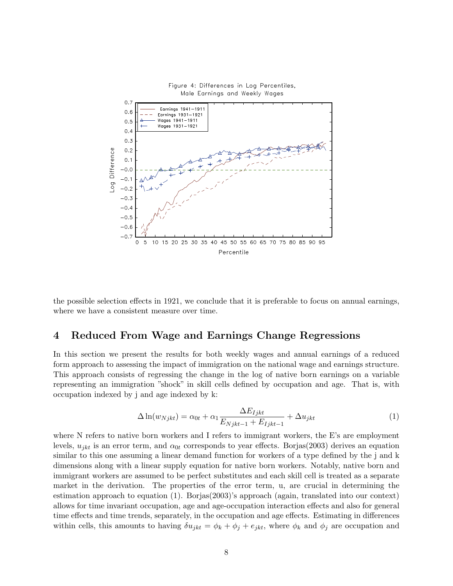

the possible selection effects in 1921, we conclude that it is preferable to focus on annual earnings, where we have a consistent measure over time.

## 4 Reduced From Wage and Earnings Change Regressions

In this section we present the results for both weekly wages and annual earnings of a reduced form approach to assessing the impact of immigration on the national wage and earnings structure. This approach consists of regressing the change in the log of native born earnings on a variable representing an immigration "shock" in skill cells defined by occupation and age. That is, with occupation indexed by j and age indexed by k:

$$
\Delta \ln(w_{Njkt}) = \alpha_{0t} + \alpha_1 \frac{\Delta E_{ljkt}}{E_{Njkt-1} + E_{ljkt-1}} + \Delta u_{jkt}
$$
\n(1)

where N refers to native born workers and I refers to immigrant workers, the E's are employment levels,  $u_{ikt}$  is an error term, and  $\alpha_{0t}$  corresponds to year effects. Borjas(2003) derives an equation similar to this one assuming a linear demand function for workers of a type defined by the j and k dimensions along with a linear supply equation for native born workers. Notably, native born and immigrant workers are assumed to be perfect substitutes and each skill cell is treated as a separate market in the derivation. The properties of the error term, u, are crucial in determining the estimation approach to equation (1). Borjas(2003)'s approach (again, translated into our context) allows for time invariant occupation, age and age-occupation interaction effects and also for general time effects and time trends, separately, in the occupation and age effects. Estimating in differences within cells, this amounts to having  $\delta u_{jkt} = \phi_k + \phi_j + e_{jkt}$ , where  $\phi_k$  and  $\phi_j$  are occupation and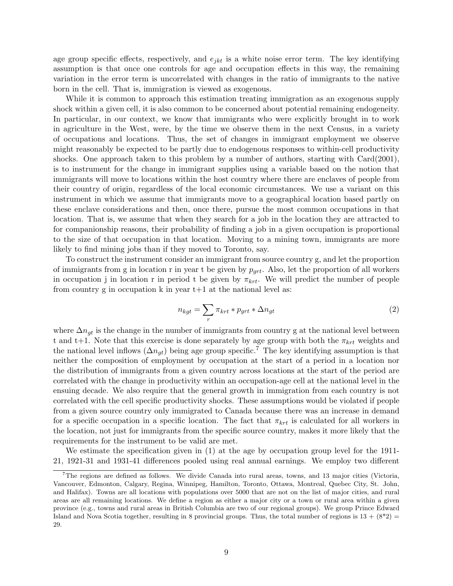age group specific effects, respectively, and  $e_{jkt}$  is a white noise error term. The key identifying assumption is that once one controls for age and occupation effects in this way, the remaining variation in the error term is uncorrelated with changes in the ratio of immigrants to the native born in the cell. That is, immigration is viewed as exogenous.

While it is common to approach this estimation treating immigration as an exogenous supply shock within a given cell, it is also common to be concerned about potential remaining endogeneity. In particular, in our context, we know that immigrants who were explicitly brought in to work in agriculture in the West, were, by the time we observe them in the next Census, in a variety of occupations and locations. Thus, the set of changes in immigrant employment we observe might reasonably be expected to be partly due to endogenous responses to within-cell productivity shocks. One approach taken to this problem by a number of authors, starting with Card(2001), is to instrument for the change in immigrant supplies using a variable based on the notion that immigrants will move to locations within the host country where there are enclaves of people from their country of origin, regardless of the local economic circumstances. We use a variant on this instrument in which we assume that immigrants move to a geographical location based partly on these enclave considerations and then, once there, pursue the most common occupations in that location. That is, we assume that when they search for a job in the location they are attracted to for companionship reasons, their probability of finding a job in a given occupation is proportional to the size of that occupation in that location. Moving to a mining town, immigrants are more likely to find mining jobs than if they moved to Toronto, say.

To construct the instrument consider an immigrant from source country g, and let the proportion of immigrants from g in location r in year t be given by  $p_{qrt}$ . Also, let the proportion of all workers in occupation j in location r in period t be given by  $\pi_{krt}$ . We will predict the number of people from country g in occupation k in year  $t+1$  at the national level as:

$$
n_{kgt} = \sum_{r} \pi_{krt} * p_{grt} * \Delta n_{gt} \tag{2}
$$

where  $\Delta n_{qt}$  is the change in the number of immigrants from country g at the national level between t and t+1. Note that this exercise is done separately by age group with both the  $\pi_{krt}$  weights and the national level inflows  $(\Delta n_{at})$  being age group specific.<sup>7</sup> The key identifying assumption is that neither the composition of employment by occupation at the start of a period in a location nor the distribution of immigrants from a given country across locations at the start of the period are correlated with the change in productivity within an occupation-age cell at the national level in the ensuing decade. We also require that the general growth in immigration from each country is not correlated with the cell specific productivity shocks. These assumptions would be violated if people from a given source country only immigrated to Canada because there was an increase in demand for a specific occupation in a specific location. The fact that  $\pi_{krt}$  is calculated for all workers in the location, not just for immigrants from the specific source country, makes it more likely that the requirements for the instrument to be valid are met.

We estimate the specification given in (1) at the age by occupation group level for the 1911- 21, 1921-31 and 1931-41 differences pooled using real annual earnings. We employ two different

<sup>&</sup>lt;sup>7</sup>The regions are defined as follows. We divide Canada into rural areas, towns, and 13 major cities (Victoria, Vancouver, Edmonton, Calgary, Regina, Winnipeg, Hamilton, Toronto, Ottawa, Montreal, Quebec City, St. John, and Halifax). Towns are all locations with populations over 5000 that are not on the list of major cities, and rural areas are all remaining locations. We define a region as either a major city or a town or rural area within a given province (e.g., towns and rural areas in British Columbia are two of our regional groups). We group Prince Edward Island and Nova Scotia together, resulting in 8 provincial groups. Thus, the total number of regions is  $13 + (8^*2) =$ 29.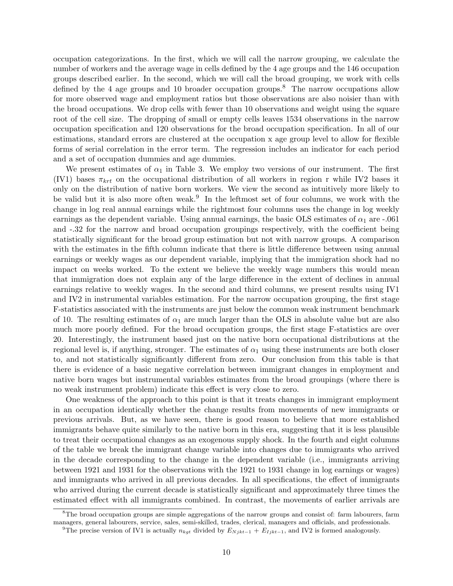occupation categorizations. In the first, which we will call the narrow grouping, we calculate the number of workers and the average wage in cells defined by the 4 age groups and the 146 occupation groups described earlier. In the second, which we will call the broad grouping, we work with cells defined by the 4 age groups and 10 broader occupation groups.<sup>8</sup> The narrow occupations allow for more observed wage and employment ratios but those observations are also noisier than with the broad occupations. We drop cells with fewer than 10 observations and weight using the square root of the cell size. The dropping of small or empty cells leaves 1534 observations in the narrow occupation specification and 120 observations for the broad occupation specification. In all of our estimations, standard errors are clustered at the occupation x age group level to allow for flexible forms of serial correlation in the error term. The regression includes an indicator for each period and a set of occupation dummies and age dummies.

We present estimates of  $\alpha_1$  in Table 3. We employ two versions of our instrument. The first (IV1) bases  $\pi_{krt}$  on the occupational distribution of all workers in region r while IV2 bases it only on the distribution of native born workers. We view the second as intuitively more likely to be valid but it is also more often weak.<sup>9</sup> In the leftmost set of four columns, we work with the change in log real annual earnings while the rightmost four columns uses the change in log weekly earnings as the dependent variable. Using annual earnings, the basic OLS estimates of  $\alpha_1$  are -.061 and -.32 for the narrow and broad occupation groupings respectively, with the coefficient being statistically significant for the broad group estimation but not with narrow groups. A comparison with the estimates in the fifth column indicate that there is little difference between using annual earnings or weekly wages as our dependent variable, implying that the immigration shock had no impact on weeks worked. To the extent we believe the weekly wage numbers this would mean that immigration does not explain any of the large difference in the extent of declines in annual earnings relative to weekly wages. In the second and third columns, we present results using IV1 and IV2 in instrumental variables estimation. For the narrow occupation grouping, the first stage F-statistics associated with the instruments are just below the common weak instrument benchmark of 10. The resulting estimates of  $\alpha_1$  are much larger than the OLS in absolute value but are also much more poorly defined. For the broad occupation groups, the first stage F-statistics are over 20. Interestingly, the instrument based just on the native born occupational distributions at the regional level is, if anything, stronger. The estimates of  $\alpha_1$  using these instruments are both closer to, and not statistically significantly different from zero. Our conclusion from this table is that there is evidence of a basic negative correlation between immigrant changes in employment and native born wages but instrumental variables estimates from the broad groupings (where there is no weak instrument problem) indicate this effect is very close to zero.

One weakness of the approach to this point is that it treats changes in immigrant employment in an occupation identically whether the change results from movements of new immigrants or previous arrivals. But, as we have seen, there is good reason to believe that more established immigrants behave quite similarly to the native born in this era, suggesting that it is less plausible to treat their occupational changes as an exogenous supply shock. In the fourth and eight columns of the table we break the immigrant change variable into changes due to immigrants who arrived in the decade corresponding to the change in the dependent variable (i.e., immigrants arriving between 1921 and 1931 for the observations with the 1921 to 1931 change in log earnings or wages) and immigrants who arrived in all previous decades. In all specifications, the effect of immigrants who arrived during the current decade is statistically significant and approximately three times the estimated effect with all immigrants combined. In contrast, the movements of earlier arrivals are

<sup>&</sup>lt;sup>8</sup>The broad occupation groups are simple aggregations of the narrow groups and consist of: farm labourers, farm managers, general labourers, service, sales, semi-skilled, trades, clerical, managers and officials, and professionals.

<sup>&</sup>lt;sup>9</sup>The precise version of IV1 is actually  $n_{kgt}$  divided by  $E_{N jkt-1} + E_{I jkt-1}$ , and IV2 is formed analogously.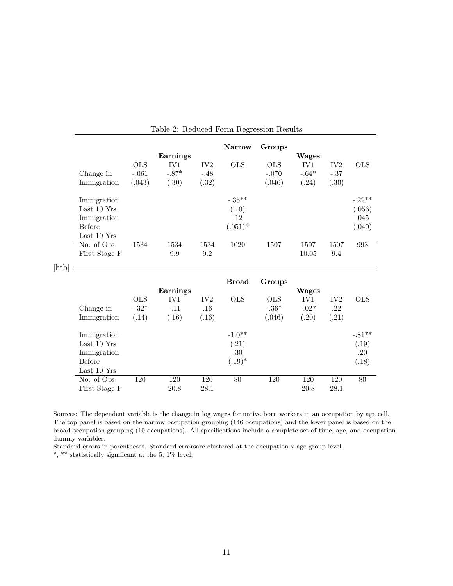|       | Change in<br>Immigration                                           | <b>OLS</b><br>$-.061$<br>(.043) | Earnings<br>IV1<br>$-.87*$<br>(.30) | $\rm IV2$<br>$-.48$<br>(.32)    | <b>Narrow</b><br><b>OLS</b>             | Groups<br><b>OLS</b><br>$-.070$<br>(.046) | <b>Wages</b><br>IV1<br>$-.64*$<br>(.24) | IV <sub>2</sub><br>$-.37$<br>(.30)  | <b>OLS</b>                           |
|-------|--------------------------------------------------------------------|---------------------------------|-------------------------------------|---------------------------------|-----------------------------------------|-------------------------------------------|-----------------------------------------|-------------------------------------|--------------------------------------|
|       | Immigration<br>Last 10 Yrs<br>Immigration<br>Before<br>Last 10 Yrs |                                 |                                     |                                 | $-.35***$<br>(.10)<br>.12<br>$(.051)^*$ |                                           |                                         |                                     | $-.22**$<br>(.056)<br>.045<br>(.040) |
|       | No. of Obs<br>First Stage F                                        | 1534                            | 1534<br>9.9                         | 1534<br>9.2                     | 1020                                    | 1507                                      | 1507<br>10.05                           | 1507<br>9.4                         | 993                                  |
| [htb] |                                                                    |                                 |                                     |                                 |                                         |                                           |                                         |                                     |                                      |
|       | Change in<br>Immigration                                           | <b>OLS</b><br>$-.32*$<br>(.14)  | Earnings<br>IV1<br>$-.11$<br>(.16)  | IV <sub>2</sub><br>.16<br>(.16) | <b>Broad</b><br><b>OLS</b>              | Groups<br><b>OLS</b><br>$-.36*$<br>(.046) | <b>Wages</b><br>IV1<br>$-.027$<br>(.20) | IV <sub>2</sub><br>$.22\,$<br>(.21) | <b>OLS</b>                           |
|       | Immigration<br>Last 10 Yrs<br>Immigration<br>Before<br>Last 10 Yrs |                                 |                                     |                                 | $-1.0**$<br>(.21)<br>.30<br>$(.19)^*$   |                                           |                                         |                                     | $-.81**$<br>(.19)<br>.20<br>(.18)    |

Sources: The dependent variable is the change in log wages for native born workers in an occupation by age cell. The top panel is based on the narrow occupation grouping (146 occupations) and the lower panel is based on the broad occupation grouping (10 occupations). All specifications include a complete set of time, age, and occupation dummy variables.

Standard errors in parentheses. Standard errorsare clustered at the occupation x age group level.

\*, \*\* statistically significant at the 5, 1% level.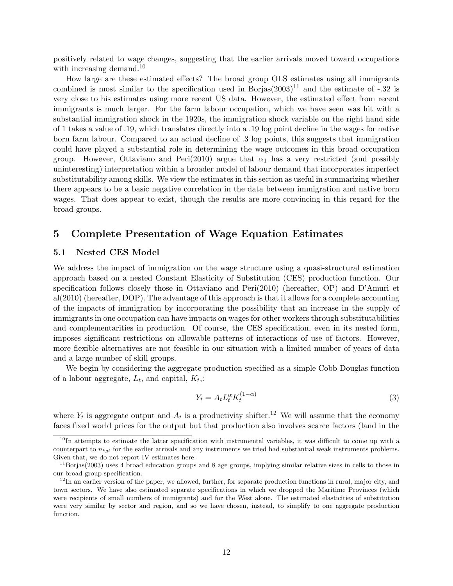positively related to wage changes, suggesting that the earlier arrivals moved toward occupations with increasing demand.<sup>10</sup>

How large are these estimated effects? The broad group OLS estimates using all immigrants combined is most similar to the specification used in Borjas $(2003)^{11}$  and the estimate of -.32 is very close to his estimates using more recent US data. However, the estimated effect from recent immigrants is much larger. For the farm labour occupation, which we have seen was hit with a substantial immigration shock in the 1920s, the immigration shock variable on the right hand side of 1 takes a value of .19, which translates directly into a .19 log point decline in the wages for native born farm labour. Compared to an actual decline of .3 log points, this suggests that immigration could have played a substantial role in determining the wage outcomes in this broad occupation group. However, Ottaviano and Peri(2010) argue that  $\alpha_1$  has a very restricted (and possibly uninteresting) interpretation within a broader model of labour demand that incorporates imperfect substitutability among skills. We view the estimates in this section as useful in summarizing whether there appears to be a basic negative correlation in the data between immigration and native born wages. That does appear to exist, though the results are more convincing in this regard for the broad groups.

## 5 Complete Presentation of Wage Equation Estimates

#### 5.1 Nested CES Model

We address the impact of immigration on the wage structure using a quasi-structural estimation approach based on a nested Constant Elasticity of Substitution (CES) production function. Our specification follows closely those in Ottaviano and Peri(2010) (hereafter, OP) and D'Amuri et al(2010) (hereafter, DOP). The advantage of this approach is that it allows for a complete accounting of the impacts of immigration by incorporating the possibility that an increase in the supply of immigrants in one occupation can have impacts on wages for other workers through substitutabilities and complementarities in production. Of course, the CES specification, even in its nested form, imposes significant restrictions on allowable patterns of interactions of use of factors. However, more flexible alternatives are not feasible in our situation with a limited number of years of data and a large number of skill groups.

We begin by considering the aggregate production specified as a simple Cobb-Douglas function of a labour aggregate,  $L_t$ , and capital,  $K_t$ ,:

$$
Y_t = A_t L_t^{\alpha} K_t^{(1-\alpha)}
$$
\n<sup>(3)</sup>

where  $Y_t$  is aggregate output and  $A_t$  is a productivity shifter.<sup>12</sup> We will assume that the economy faces fixed world prices for the output but that production also involves scarce factors (land in the

 $10$ In attempts to estimate the latter specification with instrumental variables, it was difficult to come up with a counterpart to  $n_{kqt}$  for the earlier arrivals and any instruments we tried had substantial weak instruments problems. Given that, we do not report IV estimates here.

 $11$ Borjas(2003) uses 4 broad education groups and 8 age groups, implying similar relative sizes in cells to those in our broad group specification.

 $12$ In an earlier version of the paper, we allowed, further, for separate production functions in rural, major city, and town sectors. We have also estimated separate specifications in which we dropped the Maritime Provinces (which were recipients of small numbers of immigrants) and for the West alone. The estimated elasticities of substitution were very similar by sector and region, and so we have chosen, instead, to simplify to one aggregate production function.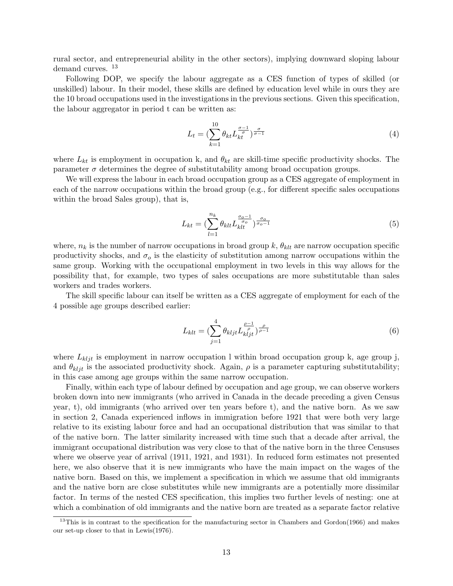rural sector, and entrepreneurial ability in the other sectors), implying downward sloping labour demand curves.  $13$ 

Following DOP, we specify the labour aggregate as a CES function of types of skilled (or unskilled) labour. In their model, these skills are defined by education level while in ours they are the 10 broad occupations used in the investigations in the previous sections. Given this specification, the labour aggregator in period t can be written as:

$$
L_t = \left(\sum_{k=1}^{10} \theta_{kt} L_{kt}^{\frac{\sigma - 1}{\sigma}}\right)_{\sigma - 1}^{\frac{\sigma}{\sigma - 1}}
$$
\n
$$
\tag{4}
$$

where  $L_{kt}$  is employment in occupation k, and  $\theta_{kt}$  are skill-time specific productivity shocks. The parameter  $\sigma$  determines the degree of substitutability among broad occupation groups.

We will express the labour in each broad occupation group as a CES aggregate of employment in each of the narrow occupations within the broad group (e.g., for different specific sales occupations within the broad Sales group), that is,

$$
L_{kt} = \left(\sum_{l=1}^{n_k} \theta_{klt} L_{klt}^{\frac{\sigma_o - 1}{\sigma_o}}\right)^{\frac{\sigma_o}{\sigma_o - 1}}
$$
\n
$$
\tag{5}
$$

where,  $n_k$  is the number of narrow occupations in broad group k,  $\theta_{klt}$  are narrow occupation specific productivity shocks, and  $\sigma_o$  is the elasticity of substitution among narrow occupations within the same group. Working with the occupational employment in two levels in this way allows for the possibility that, for example, two types of sales occupations are more substitutable than sales workers and trades workers.

The skill specific labour can itself be written as a CES aggregate of employment for each of the 4 possible age groups described earlier:

$$
L_{klt} = \left(\sum_{j=1}^{4} \theta_{kljt} L_{kljt}^{\frac{\rho-1}{\rho}}\right)^{\frac{\rho}{\rho-1}}
$$
(6)

where  $L_{kljt}$  is employment in narrow occupation l within broad occupation group k, age group j, and  $\theta_{k l i t}$  is the associated productivity shock. Again,  $\rho$  is a parameter capturing substitutability; in this case among age groups within the same narrow occupation.

Finally, within each type of labour defined by occupation and age group, we can observe workers broken down into new immigrants (who arrived in Canada in the decade preceding a given Census year, t), old immigrants (who arrived over ten years before t), and the native born. As we saw in section 2, Canada experienced inflows in immigration before 1921 that were both very large relative to its existing labour force and had an occupational distribution that was similar to that of the native born. The latter similarity increased with time such that a decade after arrival, the immigrant occupational distribution was very close to that of the native born in the three Censuses where we observe year of arrival (1911, 1921, and 1931). In reduced form estimates not presented here, we also observe that it is new immigrants who have the main impact on the wages of the native born. Based on this, we implement a specification in which we assume that old immigrants and the native born are close substitutes while new immigrants are a potentially more dissimilar factor. In terms of the nested CES specification, this implies two further levels of nesting: one at which a combination of old immigrants and the native born are treated as a separate factor relative

<sup>&</sup>lt;sup>13</sup>This is in contrast to the specification for the manufacturing sector in Chambers and Gordon(1966) and makes our set-up closer to that in Lewis(1976).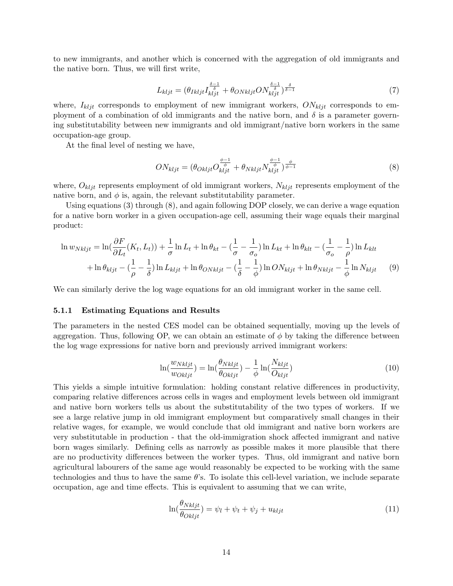to new immigrants, and another which is concerned with the aggregation of old immigrants and the native born. Thus, we will first write,

$$
L_{k l j t} = (\theta_{I k l j t} I_{k l j t}^{\frac{\delta - 1}{\delta}} + \theta_{ON k l j t} O N_{k l j t}^{\frac{\delta - 1}{\delta}})^{\frac{\delta}{\delta - 1}} \tag{7}
$$

where,  $I_{k l j t}$  corresponds to employment of new immigrant workers,  $ON_{k l j t}$  corresponds to employment of a combination of old immigrants and the native born, and  $\delta$  is a parameter governing substitutability between new immigrants and old immigrant/native born workers in the same occupation-age group.

At the final level of nesting we have,

$$
ON_{kljt} = (\theta_{Okljt} O_{kljt}^{\frac{\phi-1}{\phi}} + \theta_{Nkljt} N_{kljt}^{\frac{\phi-1}{\phi}})^{\frac{\phi}{\phi-1}}
$$
(8)

where,  $O_{k l j t}$  represents employment of old immigrant workers,  $N_{k l j t}$  represents employment of the native born, and  $\phi$  is, again, the relevant substitutability parameter.

Using equations (3) through (8), and again following DOP closely, we can derive a wage equation for a native born worker in a given occupation-age cell, assuming their wage equals their marginal product:

$$
\ln w_{Nkljt} = \ln(\frac{\partial F}{\partial L_t}(K_t, L_t)) + \frac{1}{\sigma} \ln L_t + \ln \theta_{kt} - (\frac{1}{\sigma} - \frac{1}{\sigma_0}) \ln L_{kt} + \ln \theta_{klt} - (\frac{1}{\sigma_0} - \frac{1}{\rho}) \ln L_{klt}
$$

$$
+ \ln \theta_{kljt} - (\frac{1}{\rho} - \frac{1}{\delta}) \ln L_{kljt} + \ln \theta_{ONkljt} - (\frac{1}{\delta} - \frac{1}{\phi}) \ln O N_{kljt} + \ln \theta_{Nkljt} - \frac{1}{\phi} \ln N_{kljt} \qquad (9)
$$

We can similarly derive the log wage equations for an old immigrant worker in the same cell.

#### 5.1.1 Estimating Equations and Results

The parameters in the nested CES model can be obtained sequentially, moving up the levels of aggregation. Thus, following OP, we can obtain an estimate of  $\phi$  by taking the difference between the log wage expressions for native born and previously arrived immigrant workers:

$$
\ln(\frac{w_{Nkljt}}{w_{Okljt}}) = \ln(\frac{\theta_{Nkljt}}{\theta_{Okljt}}) - \frac{1}{\phi} \ln(\frac{N_{kljt}}{O_{kljt}})
$$
(10)

This yields a simple intuitive formulation: holding constant relative differences in productivity, comparing relative differences across cells in wages and employment levels between old immigrant and native born workers tells us about the substitutability of the two types of workers. If we see a large relative jump in old immigrant employment but comparatively small changes in their relative wages, for example, we would conclude that old immigrant and native born workers are very substitutable in production - that the old-immigration shock affected immigrant and native born wages similarly. Defining cells as narrowly as possible makes it more plausible that there are no productivity differences between the worker types. Thus, old immigrant and native born agricultural labourers of the same age would reasonably be expected to be working with the same technologies and thus to have the same  $\theta$ 's. To isolate this cell-level variation, we include separate occupation, age and time effects. This is equivalent to assuming that we can write,

$$
\ln(\frac{\theta_{Nkljt}}{\theta_{Okljt}}) = \psi_l + \psi_t + \psi_j + u_{kljt}
$$
\n(11)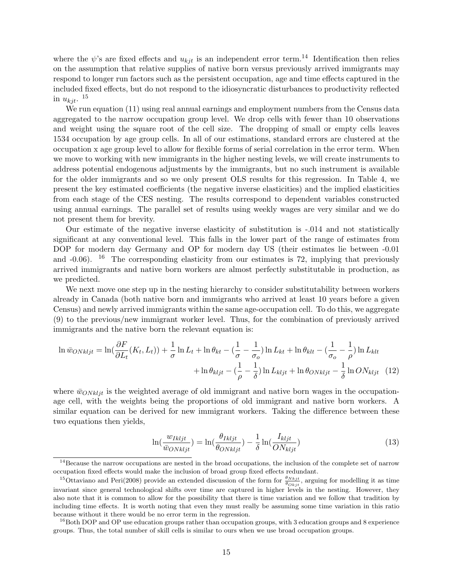where the  $\psi$ 's are fixed effects and  $u_{kit}$  is an independent error term.<sup>14</sup> Identification then relies on the assumption that relative supplies of native born versus previously arrived immigrants may respond to longer run factors such as the persistent occupation, age and time effects captured in the included fixed effects, but do not respond to the idiosyncratic disturbances to productivity reflected in  $u_{kjt}$ . <sup>15</sup>

We run equation (11) using real annual earnings and employment numbers from the Census data aggregated to the narrow occupation group level. We drop cells with fewer than 10 observations and weight using the square root of the cell size. The dropping of small or empty cells leaves 1534 occupation by age group cells. In all of our estimations, standard errors are clustered at the occupation x age group level to allow for flexible forms of serial correlation in the error term. When we move to working with new immigrants in the higher nesting levels, we will create instruments to address potential endogenous adjustments by the immigrants, but no such instrument is available for the older immigrants and so we only present OLS results for this regression. In Table 4, we present the key estimated coefficients (the negative inverse elasticities) and the implied elasticities from each stage of the CES nesting. The results correspond to dependent variables constructed using annual earnings. The parallel set of results using weekly wages are very similar and we do not present them for brevity.

Our estimate of the negative inverse elasticity of substitution is -.014 and not statistically significant at any conventional level. This falls in the lower part of the range of estimates from DOP for modern day Germany and OP for modern day US (their estimates lie between -0.01 and  $-0.06$ ). <sup>16</sup> The corresponding elasticity from our estimates is 72, implying that previously arrived immigrants and native born workers are almost perfectly substitutable in production, as we predicted.

We next move one step up in the nesting hierarchy to consider substitutability between workers already in Canada (both native born and immigrants who arrived at least 10 years before a given Census) and newly arrived immigrants within the same age-occupation cell. To do this, we aggregate (9) to the previous/new immigrant worker level. Thus, for the combination of previously arrived immigrants and the native born the relevant equation is:

$$
\ln \bar{w}_{ONkljt} = \ln(\frac{\partial F}{\partial L_t}(K_t, L_t)) + \frac{1}{\sigma} \ln L_t + \ln \theta_{kt} - (\frac{1}{\sigma} - \frac{1}{\sigma_o}) \ln L_{kt} + \ln \theta_{klt} - (\frac{1}{\sigma_o} - \frac{1}{\rho}) \ln L_{klt} + \ln \theta_{kltj} - (\frac{1}{\rho} - \frac{1}{\delta}) \ln L_{kljt} + \ln \theta_{ONkljt} - \frac{1}{\delta} \ln ON_{kljt}
$$
(12)

where  $\bar{w}_{ONkli}$  is the weighted average of old immigrant and native born wages in the occupationage cell, with the weights being the proportions of old immigrant and native born workers. A similar equation can be derived for new immigrant workers. Taking the difference between these two equations then yields,

$$
\ln(\frac{w_{Ikljt}}{\bar{w}_{ONkljt}}) = \ln(\frac{\theta_{Ikljt}}{\theta_{ONkljt}}) - \frac{1}{\delta} \ln(\frac{I_{kljt}}{ON_{kljt}})
$$
\n(13)

 $14$ Because the narrow occupations are nested in the broad occupations, the inclusion of the complete set of narrow occupation fixed effects would make the inclusion of broad group fixed effects redundant.

<sup>&</sup>lt;sup>15</sup>Ottaviano and Peri(2008) provide an extended discussion of the form for  $\frac{\theta_{Nkjt}}{\theta_{Okjt}}$ , arguing for modelling it as time invariant since general technological shifts over time are captured in higher levels in the nesting. However, they also note that it is common to allow for the possibility that there is time variation and we follow that tradition by including time effects. It is worth noting that even they must really be assuming some time variation in this ratio because without it there would be no error term in the regression.

 $^{16}$ Both DOP and OP use education groups rather than occupation groups, with 3 education groups and 8 experience groups. Thus, the total number of skill cells is similar to ours when we use broad occupation groups.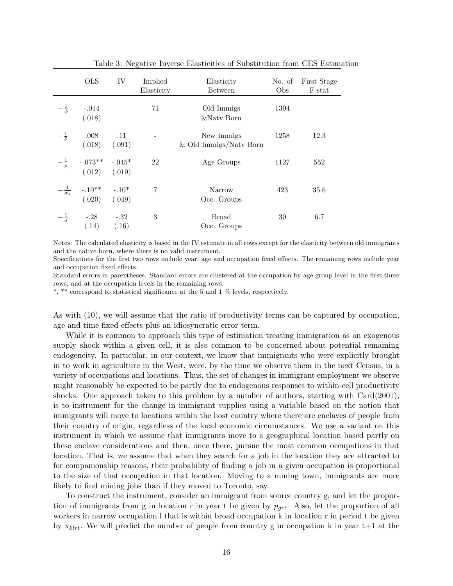|                     | <b>OLS</b>                                                                  | IV                        | Implied<br>Elasticity    | Elasticity<br><b>Between</b>           | No. of<br>Obs | First Stage<br>F stat |
|---------------------|-----------------------------------------------------------------------------|---------------------------|--------------------------|----------------------------------------|---------------|-----------------------|
| $-\frac{1}{\phi}$   | $-.014$<br>(.018)                                                           |                           | 71                       | Old Immigs<br>&Naty Born               | 1394          |                       |
| $-\frac{1}{\delta}$ | .008<br>(.018)                                                              | $\overline{11}$<br>(.091) | $\overline{\phantom{a}}$ | New Immigs<br>$&$ Old Immigs/Natv Born | 1258          | 12.3                  |
| $-\frac{1}{\rho}$   | $-0.073**$ $-0.045*$<br>(.012) (.019)                                       |                           | 22                       | Age Groups                             | 1127          | 552                   |
|                     | $-\frac{1}{\sigma_0}$ -.10 <sup>**</sup> -.10 <sup>*</sup><br>(.020) (.049) |                           | $\overline{7}$           | Narrow<br>Occ. Groups                  | 423           | 35.6                  |
| $-\frac{1}{\sigma}$ | $-.28$ $-.32$<br>$(.14)$ $(.16)$                                            |                           | 3                        | Broad<br>Occ. Groups                   | 30            | 6.7                   |

Table 3: Negative Inverse Elasticities of Substitution from CES Estimation

Notes: The calculated elasticity is based in the IV estimate in all rows except for the elasticity between old immigrants and the native born, where there is no valid instrument.

Specifications for the first two rows include year, age and occupation fixed effects. The remaining rows include year and occupation fixed effects.

Standard errors in parentheses. Standard errors are clustered at the occupation by age group level in the first three rows, and at the occupation levels in the remaining rows.

\*, \*\* correspond to statistical significance at the 5 and 1 % levels, respectively.

As with (10), we will assume that the ratio of productivity terms can be captured by occupation, age and time fixed effects plus an idiosyncratic error term.

While it is common to approach this type of estimation treating immigration as an exogenous supply shock within a given cell, it is also common to be concerned about potential remaining endogeneity. In particular, in our context, we know that immigrants who were explicitly brought in to work in agriculture in the West, were, by the time we observe them in the next Census, in a variety of occupations and locations. Thus, the set of changes in immigrant employment we observe might reasonably be expected to be partly due to endogenous responses to within-cell productivity shocks. One approach taken to this problem by a number of authors, starting with Card(2001), is to instrument for the change in immigrant supplies using a variable based on the notion that immigrants will move to locations within the host country where there are enclaves of people from their country of origin, regardless of the local economic circumstances. We use a variant on this instrument in which we assume that immigrants move to a geographical location based partly on these enclave considerations and then, once there, pursue the most common occupations in that location. That is, we assume that when they search for a job in the location they are attracted to for companionship reasons, their probability of finding a job in a given occupation is proportional to the size of that occupation in that location. Moving to a mining town, immigrants are more likely to find mining jobs than if they moved to Toronto, say.

To construct the instrument, consider an immigrant from source country g, and let the proportion of immigrants from g in location r in year t be given by  $p_{art}$ . Also, let the proportion of all workers in narrow occupation l that is within broad occupation k in location r in period t be given by  $\pi_{k l r t}$ . We will predict the number of people from country g in occupation k in year t+1 at the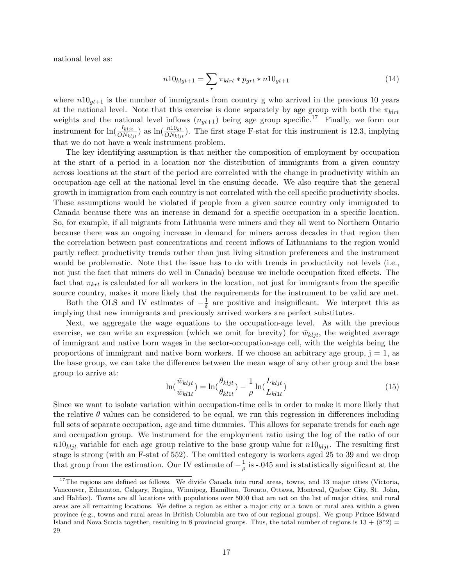national level as:

$$
n10_{klgt+1} = \sum_{r} \pi_{klrt} * p_{grt} * n10_{gt+1}
$$
\n(14)

where  $n10<sub>gt+1</sub>$  is the number of immigrants from country g who arrived in the previous 10 years at the national level. Note that this exercise is done separately by age group with both the  $\pi_{k l r t}$ weights and the national level inflows  $(n_{gt+1})$  being age group specific.<sup>17</sup> Finally, we form our instrument for  $\ln(\frac{I_{kljt}}{ON_{kljt}})$  as  $\ln(\frac{n10_{gt}}{ON_{kljt}})$ . The first stage F-stat for this instrument is 12.3, implying that we do not have a weak instrument problem.

The key identifying assumption is that neither the composition of employment by occupation at the start of a period in a location nor the distribution of immigrants from a given country across locations at the start of the period are correlated with the change in productivity within an occupation-age cell at the national level in the ensuing decade. We also require that the general growth in immigration from each country is not correlated with the cell specific productivity shocks. These assumptions would be violated if people from a given source country only immigrated to Canada because there was an increase in demand for a specific occupation in a specific location. So, for example, if all migrants from Lithuania were miners and they all went to Northern Ontario because there was an ongoing increase in demand for miners across decades in that region then the correlation between past concentrations and recent inflows of Lithuanians to the region would partly reflect productivity trends rather than just living situation preferences and the instrument would be problematic. Note that the issue has to do with trends in productivity not levels (i.e., not just the fact that miners do well in Canada) because we include occupation fixed effects. The fact that  $\pi_{krt}$  is calculated for all workers in the location, not just for immigrants from the specific source country, makes it more likely that the requirements for the instrument to be valid are met.

Both the OLS and IV estimates of  $-\frac{1}{\delta}$  $\frac{1}{\delta}$  are positive and insignificant. We interpret this as implying that new immigrants and previously arrived workers are perfect substitutes.

Next, we aggregate the wage equations to the occupation-age level. As with the previous exercise, we can write an expression (which we omit for brevity) for  $\bar{w}_{kljt}$ , the weighted average of immigrant and native born wages in the sector-occupation-age cell, with the weights being the proportions of immigrant and native born workers. If we choose an arbitrary age group,  $j = 1$ , as the base group, we can take the difference between the mean wage of any other group and the base group to arrive at:

$$
\ln(\frac{\bar{w}_{kljt}}{\bar{w}_{kl1t}}) = \ln(\frac{\theta_{kljt}}{\theta_{kl1t}}) - \frac{1}{\rho} \ln(\frac{L_{kljt}}{L_{kl1t}})
$$
(15)

Since we want to isolate variation within occupation-time cells in order to make it more likely that the relative  $\theta$  values can be considered to be equal, we run this regression in differences including full sets of separate occupation, age and time dummies. This allows for separate trends for each age and occupation group. We instrument for the employment ratio using the log of the ratio of our  $n10_{klit}$  variable for each age group relative to the base group value for  $n10_{klit}$ . The resulting first stage is strong (with an F-stat of 552). The omitted category is workers aged 25 to 39 and we drop that group from the estimation. Our IV estimate of  $-\frac{1}{a}$  $\frac{1}{\rho}$  is -.045 and is statistically significant at the

<sup>&</sup>lt;sup>17</sup>The regions are defined as follows. We divide Canada into rural areas, towns, and 13 major cities (Victoria, Vancouver, Edmonton, Calgary, Regina, Winnipeg, Hamilton, Toronto, Ottawa, Montreal, Quebec City, St. John, and Halifax). Towns are all locations with populations over 5000 that are not on the list of major cities, and rural areas are all remaining locations. We define a region as either a major city or a town or rural area within a given province (e.g., towns and rural areas in British Columbia are two of our regional groups). We group Prince Edward Island and Nova Scotia together, resulting in 8 provincial groups. Thus, the total number of regions is  $13 + (8^*2) =$ 29.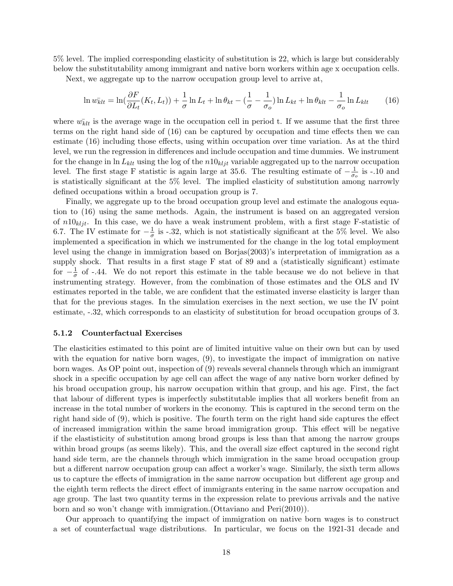5% level. The implied corresponding elasticity of substitution is 22, which is large but considerably below the substitutability among immigrant and native born workers within age x occupation cells.

Next, we aggregate up to the narrow occupation group level to arrive at,

$$
\ln w_{klt} = \ln\left(\frac{\partial F}{\partial L_t}(K_t, L_t)\right) + \frac{1}{\sigma} \ln L_t + \ln \theta_{kt} - \left(\frac{1}{\sigma} - \frac{1}{\sigma_o}\right) \ln L_{kt} + \ln \theta_{klt} - \frac{1}{\sigma_o} \ln L_{klt}
$$
 (16)

where  $w_{klt}$  is the average wage in the occupation cell in period t. If we assume that the first three terms on the right hand side of (16) can be captured by occupation and time effects then we can estimate (16) including those effects, using within occupation over time variation. As at the third level, we run the regression in differences and include occupation and time dummies. We instrument for the change in  $\ln L_{klt}$  using the log of the  $n10_{klt}$  variable aggregated up to the narrow occupation level. The first stage F statistic is again large at 35.6. The resulting estimate of  $-\frac{1}{\sigma}$  $\frac{1}{\sigma_o}$  is -.10 and is statistically significant at the 5% level. The implied elasticity of substitution among narrowly defined occupations within a broad occupation group is 7.

Finally, we aggregate up to the broad occupation group level and estimate the analogous equation to (16) using the same methods. Again, the instrument is based on an aggregated version of  $n10_{kljt}$ . In this case, we do have a weak instrument problem, with a first stage F-statistic of 6.7. The IV estimate for  $-\frac{1}{\sigma}$  $\frac{1}{\sigma}$  is -.32, which is not statistically significant at the 5% level. We also implemented a specification in which we instrumented for the change in the log total employment level using the change in immigration based on Borjas(2003)'s interpretation of immigration as a supply shock. That results in a first stage F stat of 89 and a (statistically significant) estimate for  $-\frac{1}{\sigma}$  $\frac{1}{\sigma}$  of -.44. We do not report this estimate in the table because we do not believe in that instrumenting strategy. However, from the combination of those estimates and the OLS and IV estimates reported in the table, we are confident that the estimated inverse elasticity is larger than that for the previous stages. In the simulation exercises in the next section, we use the IV point estimate, -.32, which corresponds to an elasticity of substitution for broad occupation groups of 3.

#### 5.1.2 Counterfactual Exercises

The elasticities estimated to this point are of limited intuitive value on their own but can by used with the equation for native born wages, (9), to investigate the impact of immigration on native born wages. As OP point out, inspection of (9) reveals several channels through which an immigrant shock in a specific occupation by age cell can affect the wage of any native born worker defined by his broad occupation group, his narrow occupation within that group, and his age. First, the fact that labour of different types is imperfectly substitutable implies that all workers benefit from an increase in the total number of workers in the economy. This is captured in the second term on the right hand side of (9), which is positive. The fourth term on the right hand side captures the effect of increased immigration within the same broad immigration group. This effect will be negative if the elastisticity of substitution among broad groups is less than that among the narrow groups within broad groups (as seems likely). This, and the overall size effect captured in the second right hand side term, are the channels through which immigration in the same broad occupation group but a different narrow occupation group can affect a worker's wage. Similarly, the sixth term allows us to capture the effects of immigration in the same narrow occupation but different age group and the eighth term reflects the direct effect of immigrants entering in the same narrow occupation and age group. The last two quantity terms in the expression relate to previous arrivals and the native born and so won't change with immigration.(Ottaviano and Peri(2010)).

Our approach to quantifying the impact of immigration on native born wages is to construct a set of counterfactual wage distributions. In particular, we focus on the 1921-31 decade and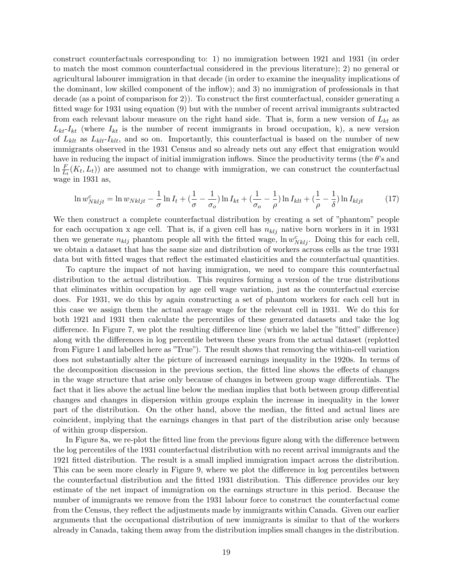construct counterfactuals corresponding to: 1) no immigration between 1921 and 1931 (in order to match the most common counterfactual considered in the previous literature); 2) no general or agricultural labourer immigration in that decade (in order to examine the inequality implications of the dominant, low skilled component of the inflow); and 3) no immigration of professionals in that decade (as a point of comparison for 2)). To construct the first counterfactual, consider generating a fitted wage for 1931 using equation (9) but with the number of recent arrival immigrants subtracted from each relevant labour measure on the right hand side. That is, form a new version of  $L_{kt}$  as  $L_{kt}$ - $I_{kt}$  (where  $I_{kt}$  is the number of recent immigrants in broad occupation, k), a new version of  $L_{klt}$  as  $L_{klt}$ -I<sub>klt</sub>, and so on. Importantly, this counterfactual is based on the number of new immigrants observed in the 1931 Census and so already nets out any effect that emigration would have in reducing the impact of initial immigration inflows. Since the productivity terms (the θ's and  $\ln \frac{F}{L_t}(K_t, L_t)$  are assumed not to change with immigration, we can construct the counterfactual wage in 1931 as,

$$
\ln w_{Nkljt}^c = \ln w_{Nkljt} - \frac{1}{\sigma} \ln I_t + \left(\frac{1}{\sigma} - \frac{1}{\sigma_o}\right) \ln I_{kt} + \left(\frac{1}{\sigma_o} - \frac{1}{\rho}\right) \ln I_{klt} + \left(\frac{1}{\rho} - \frac{1}{\delta}\right) \ln I_{kljt}
$$
(17)

We then construct a complete counterfactual distribution by creating a set of "phantom" people for each occupation x age cell. That is, if a given cell has  $n_{klj}$  native born workers in it in 1931 then we generate  $n_{klj}$  phantom people all with the fitted wage,  $\ln w_{Nklj}^c$ . Doing this for each cell, we obtain a dataset that has the same size and distribution of workers across cells as the true 1931 data but with fitted wages that reflect the estimated elasticities and the counterfactual quantities.

To capture the impact of not having immigration, we need to compare this counterfactual distribution to the actual distribution. This requires forming a version of the true distributions that eliminates within occupation by age cell wage variation, just as the counterfactual exercise does. For 1931, we do this by again constructing a set of phantom workers for each cell but in this case we assign them the actual average wage for the relevant cell in 1931. We do this for both 1921 and 1931 then calculate the percentiles of these generated datasets and take the log difference. In Figure 7, we plot the resulting difference line (which we label the "fitted" difference) along with the differences in log percentile between these years from the actual dataset (replotted from Figure 1 and labelled here as "True"). The result shows that removing the within-cell variation does not substantially alter the picture of increased earnings inequality in the 1920s. In terms of the decomposition discussion in the previous section, the fitted line shows the effects of changes in the wage structure that arise only because of changes in between group wage differentials. The fact that it lies above the actual line below the median implies that both between group differential changes and changes in dispersion within groups explain the increase in inequality in the lower part of the distribution. On the other hand, above the median, the fitted and actual lines are coincident, implying that the earnings changes in that part of the distribution arise only because of within group dispersion.

In Figure 8a, we re-plot the fitted line from the previous figure along with the difference between the log percentiles of the 1931 counterfactual distribution with no recent arrival immigrants and the 1921 fitted distribution. The result is a small implied immigration impact across the distribution. This can be seen more clearly in Figure 9, where we plot the difference in log percentiles between the counterfactual distribution and the fitted 1931 distribution. This difference provides our key estimate of the net impact of immigration on the earnings structure in this period. Because the number of immigrants we remove from the 1931 labour force to construct the counterfactual come from the Census, they reflect the adjustments made by immigrants within Canada. Given our earlier arguments that the occupational distribution of new immigrants is similar to that of the workers already in Canada, taking them away from the distribution implies small changes in the distribution.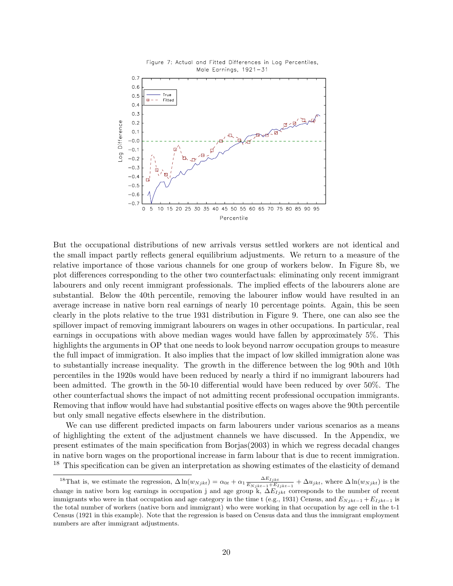

But the occupational distributions of new arrivals versus settled workers are not identical and the small impact partly reflects general equilibrium adjustments. We return to a measure of the relative importance of those various channels for one group of workers below. In Figure 8b, we plot differences corresponding to the other two counterfactuals: eliminating only recent immigrant labourers and only recent immigrant professionals. The implied effects of the labourers alone are substantial. Below the 40th percentile, removing the labourer inflow would have resulted in an average increase in native born real earnings of nearly 10 percentage points. Again, this be seen clearly in the plots relative to the true 1931 distribution in Figure 9. There, one can also see the spillover impact of removing immigrant labourers on wages in other occupations. In particular, real earnings in occupations with above median wages would have fallen by approximately 5%. This highlights the arguments in OP that one needs to look beyond narrow occupation groups to measure the full impact of immigration. It also implies that the impact of low skilled immigration alone was to substantially increase inequality. The growth in the difference between the log 90th and 10th percentiles in the 1920s would have been reduced by nearly a third if no immigrant labourers had been admitted. The growth in the 50-10 differential would have been reduced by over 50%. The other counterfactual shows the impact of not admitting recent professional occupation immigrants. Removing that inflow would have had substantial positive effects on wages above the 90th percentile but only small negative effects elsewhere in the distribution.

We can use different predicted impacts on farm labourers under various scenarios as a means of highlighting the extent of the adjustment channels we have discussed. In the Appendix, we present estimates of the main specification from Borjas(2003) in which we regress decadal changes in native born wages on the proportional increase in farm labour that is due to recent immigration. <sup>18</sup> This specification can be given an interpretation as showing estimates of the elasticity of demand

<sup>&</sup>lt;sup>18</sup>That is, we estimate the regression,  $\Delta \ln(w_{N jkt}) = \alpha_{0t} + \alpha_1 \frac{\Delta E_{I jkt}}{E_{N} (1 - \lambda + E)}$  $\frac{\Delta E_{Ijkt}}{E_{Njkt-1}+E_{Ijkt-1}} + \Delta u_{jkt}$ , where  $\Delta \ln(w_{Njkt})$  is the change in native born log earnings in occupation j and age group k,  $\Delta E_{Ijkt}$  corresponds to the number of recent immigrants who were in that occupation and age category in the time t (e.g., 1931) Census, and  $E_{Njkt-1} + E_{Ijkt-1}$  is the total number of workers (native born and immigrant) who were working in that occupation by age cell in the t-1 Census (1921 in this example). Note that the regression is based on Census data and thus the immigrant employment numbers are after immigrant adjustments.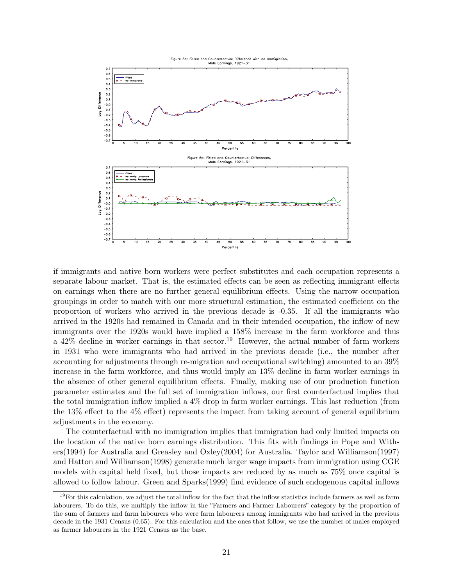

if immigrants and native born workers were perfect substitutes and each occupation represents a separate labour market. That is, the estimated effects can be seen as reflecting immigrant effects on earnings when there are no further general equilibrium effects. Using the narrow occupation groupings in order to match with our more structural estimation, the estimated coefficient on the proportion of workers who arrived in the previous decade is -0.35. If all the immigrants who arrived in the 1920s had remained in Canada and in their intended occupation, the inflow of new immigrants over the 1920s would have implied a 158% increase in the farm workforce and thus a  $42\%$  decline in worker earnings in that sector.<sup>19</sup> However, the actual number of farm workers in 1931 who were immigrants who had arrived in the previous decade (i.e., the number after accounting for adjustments through re-migration and occupational switching) amounted to an 39% increase in the farm workforce, and thus would imply an 13% decline in farm worker earnings in the absence of other general equilibrium effects. Finally, making use of our production function parameter estimates and the full set of immigration inflows, our first counterfactual implies that the total immigration inflow implied a 4% drop in farm worker earnings. This last reduction (from the 13% effect to the  $4\%$  effect) represents the impact from taking account of general equilibrium adjustments in the economy.

The counterfactual with no immigration implies that immigration had only limited impacts on the location of the native born earnings distribution. This fits with findings in Pope and Withers(1994) for Australia and Greasley and Oxley(2004) for Australia. Taylor and Williamson(1997) and Hatton and Williamson(1998) generate much larger wage impacts from immigration using CGE models with capital held fixed, but those impacts are reduced by as much as 75% once capital is allowed to follow labour. Green and Sparks(1999) find evidence of such endogenous capital inflows

 $19$ For this calculation, we adjust the total inflow for the fact that the inflow statistics include farmers as well as farm labourers. To do this, we multiply the inflow in the "Farmers and Farmer Labourers" category by the proportion of the sum of farmers and farm labourers who were farm labourers among immigrants who had arrived in the previous decade in the 1931 Census (0.65). For this calculation and the ones that follow, we use the number of males employed as farmer labourers in the 1921 Census as the base.